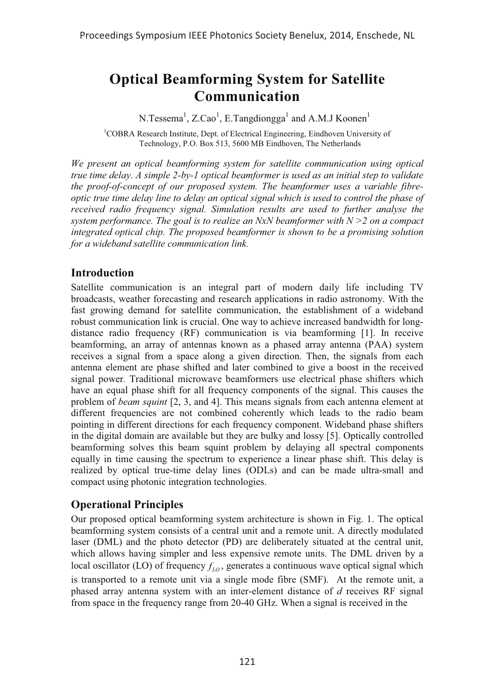# **Optical Beamforming System for Satellite Communication**

N.Tessema<sup>1</sup>, Z.Cao<sup>1</sup>, E.Tangdiongga<sup>1</sup> and A.M.J Koonen<sup>1</sup>

<sup>1</sup>COBRA Research Institute, Dept. of Electrical Engineering, Eindhoven University of Technology, P.O. Box 513, 5600 MB Eindhoven, The Netherlands

*We present an optical beamforming system for satellite communication using optical true time delay. A simple 2-by-1 optical beamformer is used as an initial step to validate the proof-of-concept of our proposed system. The beamformer uses a variable fibreoptic true time delay line to delay an optical signal which is used to control the phase of received radio frequency signal. Simulation results are used to further analyse the system performance. The goal is to realize an NxN beamformer with N >2 on a compact integrated optical chip. The proposed beamformer is shown to be a promising solution for a wideband satellite communication link.*

## **Introduction**

Satellite communication is an integral part of modern daily life including TV broadcasts, weather forecasting and research applications in radio astronomy. With the fast growing demand for satellite communication, the establishment of a wideband robust communication link is crucial. One way to achieve increased bandwidth for longdistance radio frequency (RF) communication is via beamforming [1]. In receive beamforming, an array of antennas known as a phased array antenna (PAA) system receives a signal from a space along a given direction. Then, the signals from each antenna element are phase shifted and later combined to give a boost in the received signal power*.* Traditional microwave beamformers use electrical phase shifters which have an equal phase shift for all frequency components of the signal. This causes the problem of *beam squint* [2, 3, and 4]. This means signals from each antenna element at different frequencies are not combined coherently which leads to the radio beam pointing in different directions for each frequency component. Wideband phase shifters in the digital domain are available but they are bulky and lossy [5]. Optically controlled beamforming solves this beam squint problem by delaying all spectral components equally in time causing the spectrum to experience a linear phase shift. This delay is realized by optical true-time delay lines (ODLs) and can be made ultra-small and compact using photonic integration technologies.

## **Operational Principles**

Our proposed optical beamforming system architecture is shown in Fig. 1. The optical beamforming system consists of a central unit and a remote unit. A directly modulated laser (DML) and the photo detector (PD) are deliberately situated at the central unit, which allows having simpler and less expensive remote units. The DML driven by a local oscillator (LO) of frequency  $f_{10}$ , generates a continuous wave optical signal which is transported to a remote unit via a single mode fibre (SMF). At the remote unit, a phased array antenna system with an inter-element distance of *d* receives RF signal from space in the frequency range from 20-40 GHz. When a signal is received in the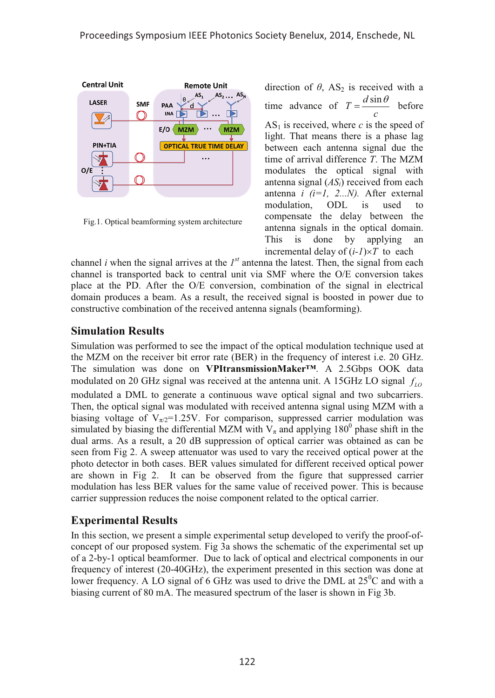

Fig.1. Optical beamforming system architecture

direction of  $\theta$ , AS<sub>2</sub> is received with a time advance of  $T = \frac{d \sin \theta}{c}$  before  $AS<sub>1</sub>$  is received, where *c* is the speed of light. That means there is a phase lag between each antenna signal due the time of arrival difference *T*. The MZM modulates the optical signal with antenna signal (*ASi*) received from each antenna *i (i=1, 2...N).* After external modulation, ODL is used to compensate the delay between the antenna signals in the optical domain. This is done by applying an incremental delay of  $(i-1) \times T$  to each

channel *i* when the signal arrives at the  $I<sup>st</sup>$  antenna the latest. Then, the signal from each channel is transported back to central unit via SMF where the O/E conversion takes place at the PD. After the O/E conversion, combination of the signal in electrical domain produces a beam. As a result, the received signal is boosted in power due to constructive combination of the received antenna signals (beamforming).

## **Simulation Results**

Simulation was performed to see the impact of the optical modulation technique used at the MZM on the receiver bit error rate (BER) in the frequency of interest i.e. 20 GHz. The simulation was done on **VPItransmissionMaker™**. A 2.5Gbps OOK data modulated on 20 GHz signal was received at the antenna unit. A 15GHz LO signal  $f_{10}$ modulated a DML to generate a continuous wave optical signal and two subcarriers. Then, the optical signal was modulated with received antenna signal using MZM with a biasing voltage of  $V_{\pi/2}=1.25V$ . For comparison, suppressed carrier modulation was simulated by biasing the differential MZM with  $V_{\pi}$  and applying 180<sup>0</sup> phase shift in the dual arms. As a result, a 20 dB suppression of optical carrier was obtained as can be seen from Fig 2. A sweep attenuator was used to vary the received optical power at the photo detector in both cases. BER values simulated for different received optical power are shown in Fig 2. It can be observed from the figure that suppressed carrier modulation has less BER values for the same value of received power. This is because carrier suppression reduces the noise component related to the optical carrier.

# **Experimental Results**

In this section, we present a simple experimental setup developed to verify the proof-ofconcept of our proposed system. Fig 3a shows the schematic of the experimental set up of a 2-by-1 optical beamformer. Due to lack of optical and electrical components in our frequency of interest (20-40GHz), the experiment presented in this section was done at lower frequency. A LO signal of 6 GHz was used to drive the DML at  $25^{\circ}$ C and with a biasing current of 80 mA. The measured spectrum of the laser is shown in Fig 3b.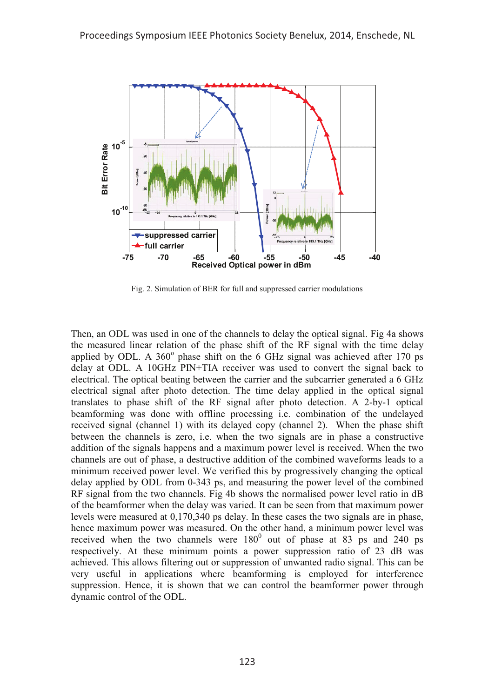

Fig. 2. Simulation of BER for full and suppressed carrier modulations

Then, an ODL was used in one of the channels to delay the optical signal. Fig 4a shows the measured linear relation of the phase shift of the RF signal with the time delay applied by ODL. A  $360^\circ$  phase shift on the 6 GHz signal was achieved after 170 ps delay at ODL. A 10GHz PIN+TIA receiver was used to convert the signal back to electrical. The optical beating between the carrier and the subcarrier generated a 6 GHz electrical signal after photo detection. The time delay applied in the optical signal translates to phase shift of the RF signal after photo detection. A 2-by-1 optical beamforming was done with offline processing i.e. combination of the undelayed received signal (channel 1) with its delayed copy (channel 2). When the phase shift between the channels is zero, i.e. when the two signals are in phase a constructive addition of the signals happens and a maximum power level is received. When the two channels are out of phase, a destructive addition of the combined waveforms leads to a minimum received power level. We verified this by progressively changing the optical delay applied by ODL from 0-343 ps, and measuring the power level of the combined RF signal from the two channels. Fig 4b shows the normalised power level ratio in dB of the beamformer when the delay was varied. It can be seen from that maximum power levels were measured at 0,170,340 ps delay. In these cases the two signals are in phase, hence maximum power was measured. On the other hand, a minimum power level was received when the two channels were  $180^0$  out of phase at 83 ps and 240 ps respectively. At these minimum points a power suppression ratio of 23 dB was achieved. This allows filtering out or suppression of unwanted radio signal. This can be very useful in applications where beamforming is employed for interference suppression. Hence, it is shown that we can control the beamformer power through dynamic control of the ODL.